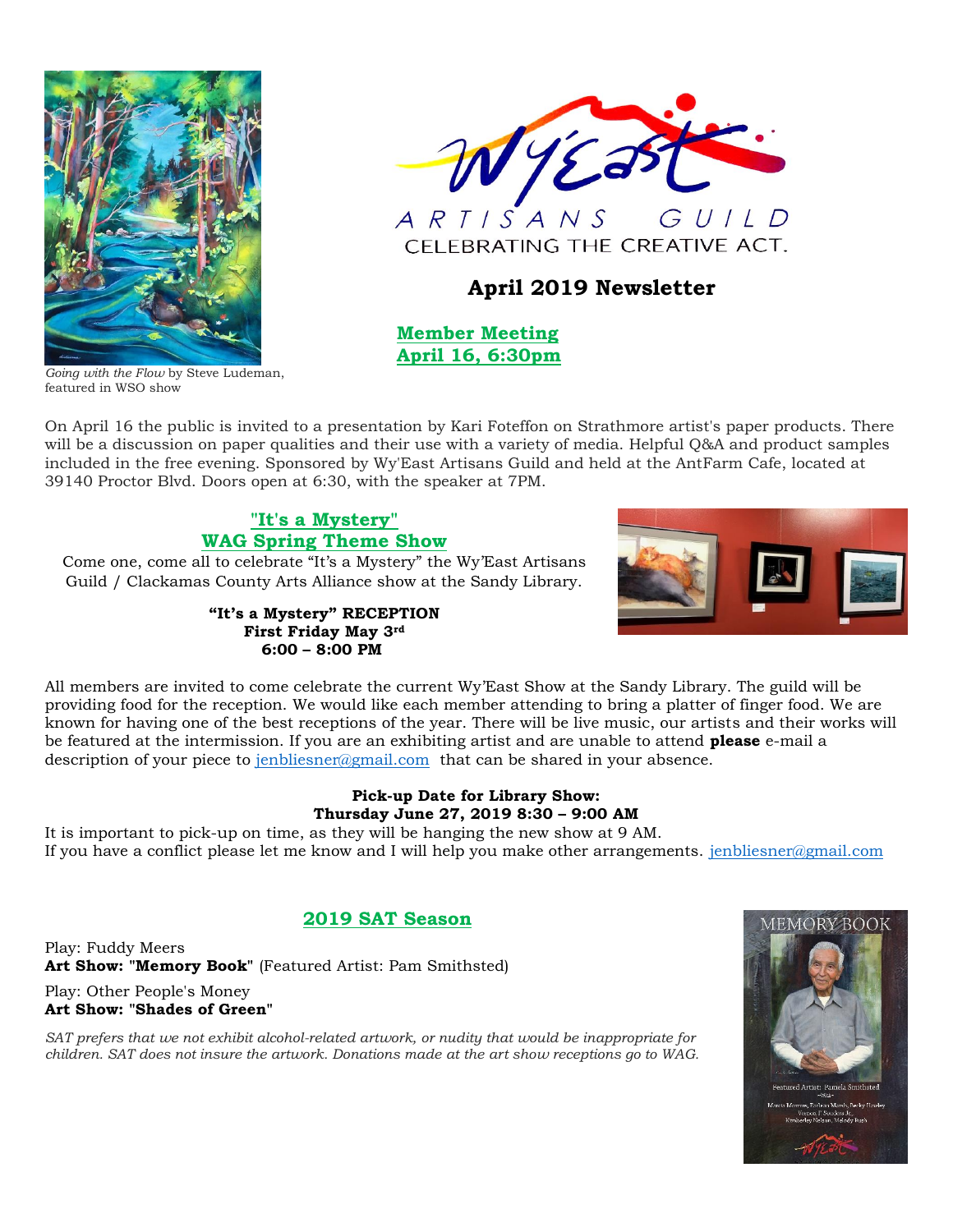

VYEa

 $GUILD$  $ARTISANS$ CELEBRATING THE CREATIVE ACT.

# **April 2019 Newsletter**

 **Member Meeting April 16, 6:30pm**

*Going with the Flow* by Steve Ludeman, featured in WSO show

On April 16 the public is invited to a presentation by Kari Foteffon on Strathmore artist's paper products. There will be a discussion on paper qualities and their use with a variety of media. Helpful Q&A and product samples included in the free evening. Sponsored by Wy'East Artisans Guild and held at the AntFarm Cafe, located at 39140 Proctor Blvd. Doors open at 6:30, with the speaker at 7PM.

# **"It's a Mystery" WAG Spring Theme Show**

Come one, come all to celebrate "It's a Mystery" the Wy'East Artisans Guild / Clackamas County Arts Alliance show at the Sandy Library.

> **"It's a Mystery" RECEPTION First Friday May 3rd 6:00 – 8:00 PM**



All members are invited to come celebrate the current Wy'East Show at the Sandy Library. The guild will be providing food for the reception. We would like each member attending to bring a platter of finger food. We are known for having one of the best receptions of the year. There will be live music, our artists and their works will be featured at the intermission. If you are an exhibiting artist and are unable to attend **please** e-mail a description of your piece to [jenbliesner@gmail.com](mailto:jenbliesner@gmail.com) that can be shared in your absence.

## **Pick-up Date for Library Show: Thursday June 27, 2019 8:30 – 9:00 AM**

It is important to pick-up on time, as they will be hanging the new show at 9 AM. If you have a conflict please let me know and I will help you make other arrangements. [jenbliesner@gmail.com](mailto:jenbliesner@gmail.com)

# **2019 SAT Season**

Play: Fuddy Meers **Art Show: "Memory Book"** (Featured Artist: Pam Smithsted)

Play: Other People's Money **Art Show: "Shades of Green"**

*SAT prefers that we not exhibit alcohol-related artwork, or nudity that would be inappropriate for children. SAT does not insure the artwork. Donations made at the art show receptions go to WAG.*

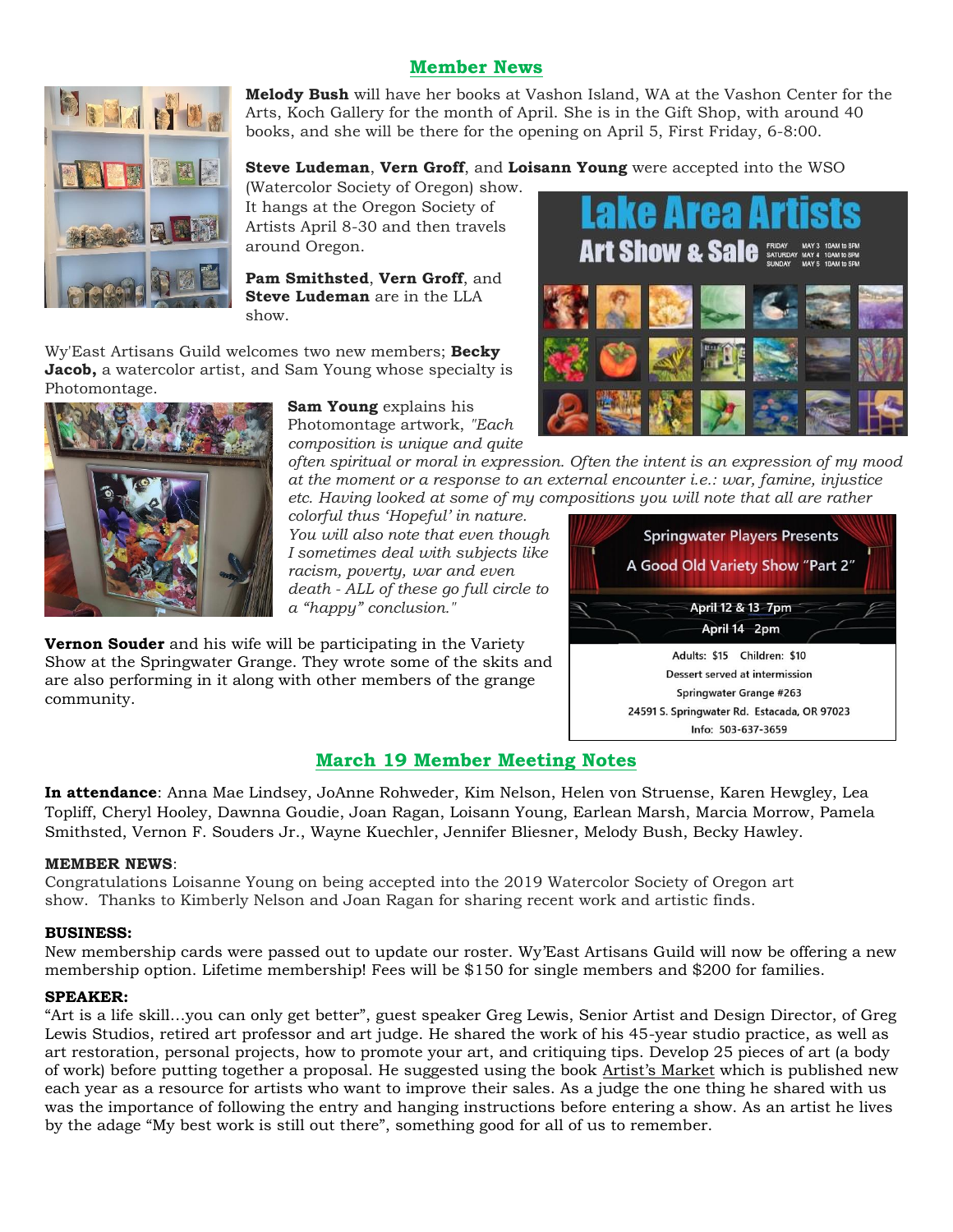# **Member News**



**Melody Bush** will have her books at Vashon Island, WA at the Vashon Center for the Arts, Koch Gallery for the month of April. She is in the Gift Shop, with around 40 books, and she will be there for the opening on April 5, First Friday, 6-8:00.

## **Steve Ludeman**, **Vern Groff**, and **Loisann Young** were accepted into the WSO

(Watercolor Society of Oregon) show. It hangs at the Oregon Society of Artists April 8-30 and then travels around Oregon.

**Pam Smithsted**, **Vern Groff**, and **Steve Ludeman** are in the LLA show.

Wy'East Artisans Guild welcomes two new members; **Becky Jacob,** a watercolor artist, and Sam Young whose specialty is Photomontage.



**Sam Young** explains his Photomontage artwork, *"Each composition is unique and quite* 

*often spiritual or moral in expression. Often the intent is an expression of my mood at the moment or a response to an external encounter i.e.: war, famine, injustice etc. Having looked at some of my compositions you will note that all are rather* 

*colorful thus 'Hopeful' in nature. You will also note that even though I sometimes deal with subjects like racism, poverty, war and even death - ALL of these go full circle to a "happy" conclusion."*

**Vernon Souder** and his wife will be participating in the Variety Show at the Springwater Grange. They wrote some of the skits and are also performing in it along with other members of the grange community.





## **March 19 Member Meeting Notes**

**In attendance**: Anna Mae Lindsey, JoAnne Rohweder, Kim Nelson, Helen von Struense, Karen Hewgley, Lea Topliff, Cheryl Hooley, Dawnna Goudie, Joan Ragan, Loisann Young, Earlean Marsh, Marcia Morrow, Pamela Smithsted, Vernon F. Souders Jr., Wayne Kuechler, Jennifer Bliesner, Melody Bush, Becky Hawley.

### **MEMBER NEWS**:

Congratulations Loisanne Young on being accepted into the 2019 Watercolor Society of Oregon art show. Thanks to Kimberly Nelson and Joan Ragan for sharing recent work and artistic finds.

### **BUSINESS:**

New membership cards were passed out to update our roster. Wy'East Artisans Guild will now be offering a new membership option. Lifetime membership! Fees will be \$150 for single members and \$200 for families.

#### **SPEAKER:**

"Art is a life skill…you can only get better", guest speaker Greg Lewis, Senior Artist and Design Director, of Greg Lewis Studios, retired art professor and art judge. He shared the work of his 45-year studio practice, as well as art restoration, personal projects, how to promote your art, and critiquing tips. Develop 25 pieces of art (a body of work) before putting together a proposal. He suggested using the book Artist's Market which is published new each year as a resource for artists who want to improve their sales. As a judge the one thing he shared with us was the importance of following the entry and hanging instructions before entering a show. As an artist he lives by the adage "My best work is still out there", something good for all of us to remember.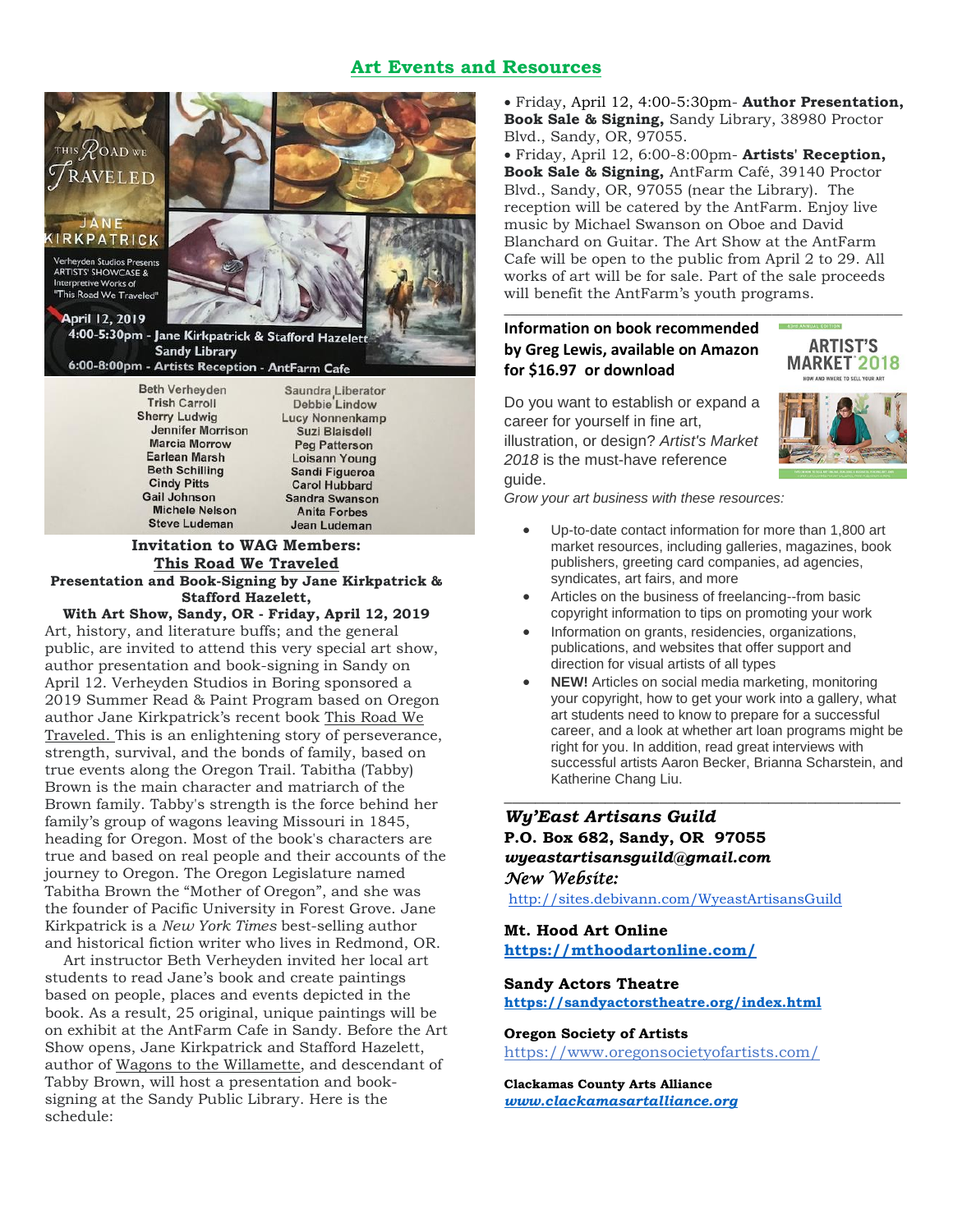## **Art Events and Resources**



#### **Invitation to WAG Members: This Road We Traveled Presentation and Book-Signing by Jane Kirkpatrick & Stafford Hazelett,**

**Anita Forbes** 

Jean Ludeman

**Michele Nelson** 

**Steve Ludeman** 

**With Art Show, Sandy, OR - Friday, April 12, 2019** Art, history, and literature buffs; and the general public, are invited to attend this very special art show, author presentation and book-signing in Sandy on April 12. Verheyden Studios in Boring sponsored a 2019 Summer Read & Paint Program based on Oregon author Jane Kirkpatrick's recent book This Road We Traveled. This is an enlightening story of perseverance, strength, survival, and the bonds of family, based on true events along the Oregon Trail. Tabitha (Tabby) Brown is the main character and matriarch of the Brown family. Tabby's strength is the force behind her family's group of wagons leaving Missouri in 1845, heading for Oregon. Most of the book's characters are true and based on real people and their accounts of the journey to Oregon. The Oregon Legislature named Tabitha Brown the "Mother of Oregon", and she was the founder of Pacific University in Forest Grove. Jane Kirkpatrick is a *New York Times* best-selling author and historical fiction writer who lives in Redmond, OR.

 Art instructor Beth Verheyden invited her local art students to read Jane's book and create paintings based on people, places and events depicted in the book. As a result, 25 original, unique paintings will be on exhibit at the AntFarm Cafe in Sandy. Before the Art Show opens, Jane Kirkpatrick and Stafford Hazelett, author of Wagons to the Willamette, and descendant of Tabby Brown, will host a presentation and booksigning at the Sandy Public Library. Here is the schedule:

• Friday, April 12, 4:00-5:30pm- **Author Presentation, Book Sale & Signing,** Sandy Library, 38980 Proctor Blvd., Sandy, OR, 97055.

• Friday, April 12, 6:00-8:00pm- **Artists' Reception, Book Sale & Signing,** AntFarm Café, 39140 Proctor Blvd., Sandy, OR, 97055 (near the Library). The reception will be catered by the AntFarm. Enjoy live music by Michael Swanson on Oboe and David Blanchard on Guitar. The Art Show at the AntFarm Cafe will be open to the public from April 2 to 29. All works of art will be for sale. Part of the sale proceeds will benefit the AntFarm's youth programs.

*\_\_\_\_\_\_\_\_\_\_\_\_\_\_\_\_\_\_\_\_\_\_\_\_\_\_\_\_\_\_\_\_\_\_\_\_\_\_\_\_\_\_\_\_\_\_\_\_\_\_\_\_\_\_\_\_\_\_\_\_\_\_\_\_*

## **Information on book recommended by Greg Lewis, available on Amazon for \$16.97 or download**



Do you want to establish or expand a career for yourself in fine art, illustration, or design? *Artist's Market 2018* is the must-have reference guide.

*Grow your art business with these resources:*

- Up-to-date contact information for more than 1,800 art market resources, including galleries, magazines, book publishers, greeting card companies, ad agencies, syndicates, art fairs, and more
- Articles on the business of freelancing--from basic copyright information to tips on promoting your work
- Information on grants, residencies, organizations, publications, and websites that offer support and direction for visual artists of all types
- **NEW!** Articles on social media marketing, monitoring your copyright, how to get your work into a gallery, what art students need to know to prepare for a successful career, and a look at whether art loan programs might be right for you. In addition, read great interviews with successful artists Aaron Becker, Brianna Scharstein, and Katherine Chang Liu.

*\_\_\_\_\_\_\_\_\_\_\_\_\_\_\_\_\_\_\_\_\_\_\_\_\_\_\_\_\_\_\_\_\_\_\_\_\_\_\_\_\_\_\_\_\_\_\_\_\_\_\_*

# *Wy'East Artisans Guild*

**P.O. Box 682, Sandy, OR 97055** *wyeastartisansguild@gmail.com New Website:* 

<http://sites.debivann.com/WyeastArtisansGuild>

**Mt. Hood Art Online <https://mthoodartonline.com/>**

## **Sandy Actors Theatre <https://sandyactorstheatre.org/index.html>**

#### **Oregon Society of Artists**

<https://www.oregonsocietyofartists.com/>

**Clackamas County Arts Alliance** *[www.clackamasartalliance.org](http://www.clackamasartalliance.org/)*